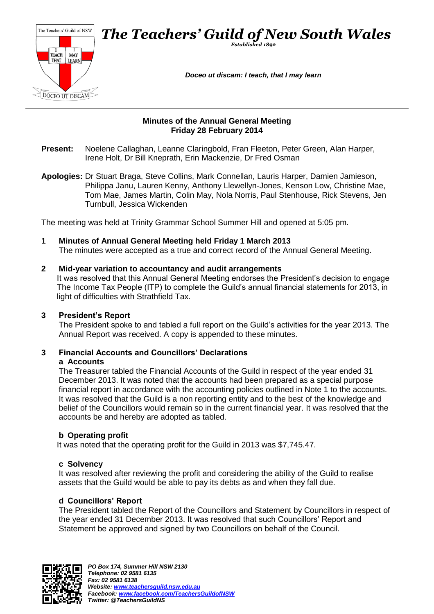

#### **Minutes of the Annual General Meeting Friday 28 February 2014**

- **Present:** Noelene Callaghan, Leanne Claringbold, Fran Fleeton, Peter Green, Alan Harper, Irene Holt, Dr Bill Kneprath, Erin Mackenzie, Dr Fred Osman
- **Apologies:** Dr Stuart Braga, Steve Collins, Mark Connellan, Lauris Harper, Damien Jamieson, Philippa Janu, Lauren Kenny, Anthony Llewellyn-Jones, Kenson Low, Christine Mae, Tom Mae, James Martin, Colin May, Nola Norris, Paul Stenhouse, Rick Stevens, Jen Turnbull, Jessica Wickenden

The meeting was held at Trinity Grammar School Summer Hill and opened at 5:05 pm.

**1 Minutes of Annual General Meeting held Friday 1 March 2013** The minutes were accepted as a true and correct record of the Annual General Meeting.

#### **2 Mid-year variation to accountancy and audit arrangements**

It was resolved that this Annual General Meeting endorses the President's decision to engage The Income Tax People (ITP) to complete the Guild's annual financial statements for 2013, in light of difficulties with Strathfield Tax.

### **3 President's Report**

The President spoke to and tabled a full report on the Guild's activities for the year 2013. The Annual Report was received. A copy is appended to these minutes.

## **3 Financial Accounts and Councillors' Declarations**

#### **a Accounts**

The Treasurer tabled the Financial Accounts of the Guild in respect of the year ended 31 December 2013. It was noted that the accounts had been prepared as a special purpose financial report in accordance with the accounting policies outlined in Note 1 to the accounts. It was resolved that the Guild is a non reporting entity and to the best of the knowledge and belief of the Councillors would remain so in the current financial year. It was resolved that the accounts be and hereby are adopted as tabled.

### **b Operating profit**

It was noted that the operating profit for the Guild in 2013 was \$7,745.47.

#### **c Solvency**

It was resolved after reviewing the profit and considering the ability of the Guild to realise assets that the Guild would be able to pay its debts as and when they fall due.

### **d Councillors' Report**

The President tabled the Report of the Councillors and Statement by Councillors in respect of the year ended 31 December 2013. It was resolved that such Councillors' Report and Statement be approved and signed by two Councillors on behalf of the Council.

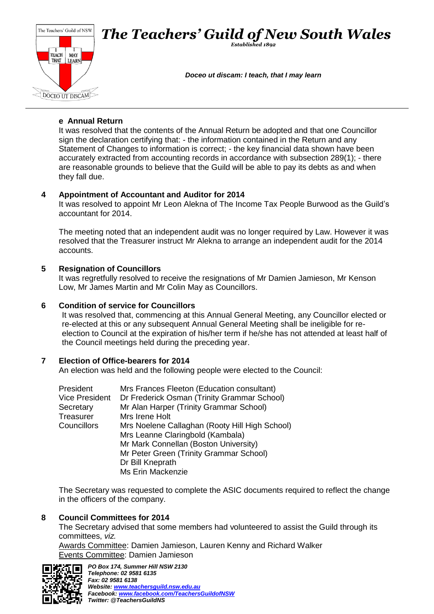

### **e Annual Return**

It was resolved that the contents of the Annual Return be adopted and that one Councillor sign the declaration certifying that: - the information contained in the Return and any Statement of Changes to information is correct; - the key financial data shown have been accurately extracted from accounting records in accordance with subsection 289(1); - there are reasonable grounds to believe that the Guild will be able to pay its debts as and when they fall due.

## **4 Appointment of Accountant and Auditor for 2014**

It was resolved to appoint Mr Leon Alekna of The Income Tax People Burwood as the Guild's accountant for 2014.

The meeting noted that an independent audit was no longer required by Law. However it was resolved that the Treasurer instruct Mr Alekna to arrange an independent audit for the 2014 accounts.

## **5 Resignation of Councillors**

It was regretfully resolved to receive the resignations of Mr Damien Jamieson, Mr Kenson Low, Mr James Martin and Mr Colin May as Councillors.

## **6 Condition of service for Councillors**

It was resolved that, commencing at this Annual General Meeting, any Councillor elected or re-elected at this or any subsequent Annual General Meeting shall be ineligible for reelection to Council at the expiration of his/her term if he/she has not attended at least half of the Council meetings held during the preceding year.

## **7 Election of Office-bearers for 2014**

An election was held and the following people were elected to the Council:

| President             | Mrs Frances Fleeton (Education consultant)     |  |
|-----------------------|------------------------------------------------|--|
| <b>Vice President</b> | Dr Frederick Osman (Trinity Grammar School)    |  |
| Secretary             | Mr Alan Harper (Trinity Grammar School)        |  |
| Treasurer             | Mrs Irene Holt                                 |  |
| Councillors           | Mrs Noelene Callaghan (Rooty Hill High School) |  |
|                       | Mrs Leanne Claringbold (Kambala)               |  |
|                       | Mr Mark Connellan (Boston University)          |  |
|                       | Mr Peter Green (Trinity Grammar School)        |  |
|                       | Dr Bill Kneprath                               |  |
|                       | <b>Ms Erin Mackenzie</b>                       |  |

The Secretary was requested to complete the ASIC documents required to reflect the change in the officers of the company.

### **8 Council Committees for 2014**

The Secretary advised that some members had volunteered to assist the Guild through its committees, *viz.*

Awards Committee: Damien Jamieson, Lauren Kenny and Richard Walker Events Committee: Damien Jamieson

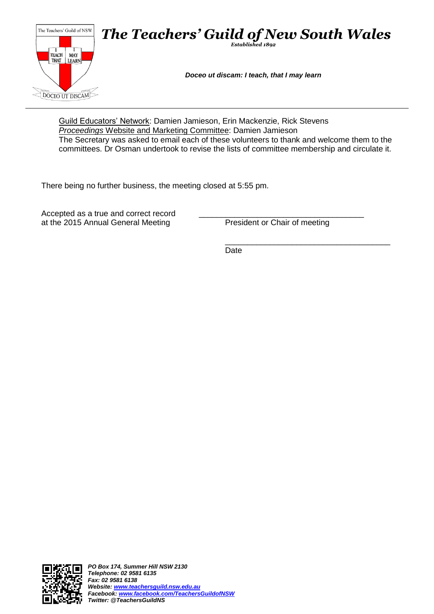

Guild Educators' Network: Damien Jamieson, Erin Mackenzie, Rick Stevens *Proceedings* Website and Marketing Committee: Damien Jamieson The Secretary was asked to email each of these volunteers to thank and welcome them to the committees. Dr Osman undertook to revise the lists of committee membership and circulate it.

There being no further business, the meeting closed at 5:55 pm.

Accepted as a true and correct record<br>at the 2015 Annual General Meeting President or Chair of meeting at the 2015 Annual General Meeting

\_\_\_\_\_\_\_\_\_\_\_\_\_\_\_\_\_\_\_\_\_\_\_\_\_\_\_\_\_\_\_\_\_\_\_\_\_ Date

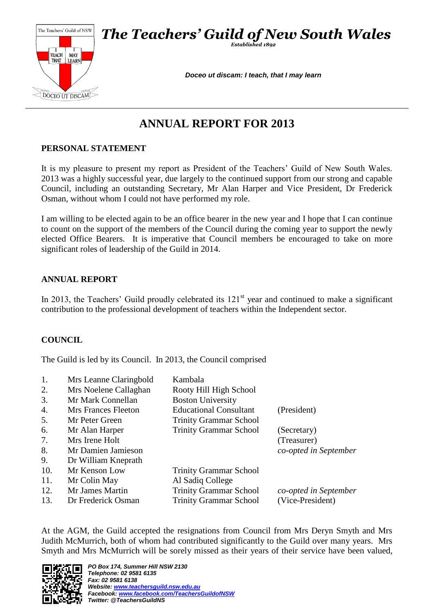

# **ANNUAL REPORT FOR 2013**

# **PERSONAL STATEMENT**

It is my pleasure to present my report as President of the Teachers' Guild of New South Wales. 2013 was a highly successful year, due largely to the continued support from our strong and capable Council, including an outstanding Secretary, Mr Alan Harper and Vice President, Dr Frederick Osman, without whom I could not have performed my role.

I am willing to be elected again to be an office bearer in the new year and I hope that I can continue to count on the support of the members of the Council during the coming year to support the newly elected Office Bearers. It is imperative that Council members be encouraged to take on more significant roles of leadership of the Guild in 2014.

## **ANNUAL REPORT**

In 2013, the Teachers' Guild proudly celebrated its  $121<sup>st</sup>$  year and continued to make a significant contribution to the professional development of teachers within the Independent sector.

## **COUNCIL**

The Guild is led by its Council. In 2013, the Council comprised

| 1.<br>2.<br>3. | Mrs Leanne Claringbold<br>Mrs Noelene Callaghan<br>Mr Mark Connellan | Kambala<br>Rooty Hill High School<br><b>Boston University</b> |                       |
|----------------|----------------------------------------------------------------------|---------------------------------------------------------------|-----------------------|
| 4.             | Mrs Frances Fleeton                                                  | <b>Educational Consultant</b>                                 | (President)           |
| 5.             | Mr Peter Green                                                       | <b>Trinity Grammar School</b>                                 |                       |
| 6.             | Mr Alan Harper                                                       | <b>Trinity Grammar School</b>                                 | (Secretary)           |
| 7.             | Mrs Irene Holt                                                       |                                                               | (Treasurer)           |
| 8.             | Mr Damien Jamieson                                                   |                                                               | co-opted in September |
| 9.             | Dr William Kneprath                                                  |                                                               |                       |
| 10.            | Mr Kenson Low                                                        | <b>Trinity Grammar School</b>                                 |                       |
| 11.            | Mr Colin May                                                         | Al Sadiq College                                              |                       |
| 12.            | Mr James Martin                                                      | <b>Trinity Grammar School</b>                                 | co-opted in September |
| 13.            | Dr Frederick Osman                                                   | <b>Trinity Grammar School</b>                                 | (Vice-President)      |

At the AGM, the Guild accepted the resignations from Council from Mrs Deryn Smyth and Mrs Judith McMurrich, both of whom had contributed significantly to the Guild over many years. Mrs Smyth and Mrs McMurrich will be sorely missed as their years of their service have been valued,

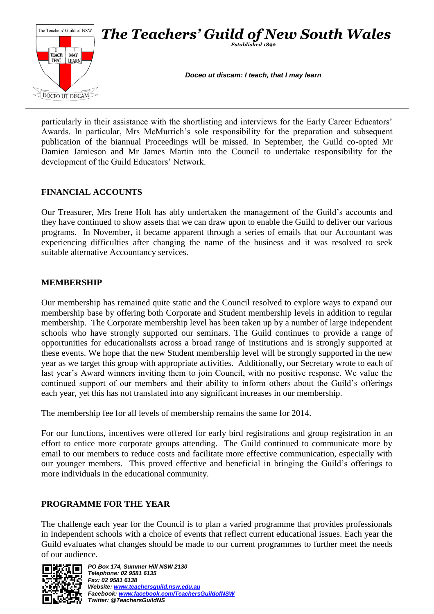

particularly in their assistance with the shortlisting and interviews for the Early Career Educators' Awards. In particular, Mrs McMurrich's sole responsibility for the preparation and subsequent publication of the biannual Proceedings will be missed. In September, the Guild co-opted Mr Damien Jamieson and Mr James Martin into the Council to undertake responsibility for the development of the Guild Educators' Network.

## **FINANCIAL ACCOUNTS**

Our Treasurer, Mrs Irene Holt has ably undertaken the management of the Guild's accounts and they have continued to show assets that we can draw upon to enable the Guild to deliver our various programs. In November, it became apparent through a series of emails that our Accountant was experiencing difficulties after changing the name of the business and it was resolved to seek suitable alternative Accountancy services.

## **MEMBERSHIP**

Our membership has remained quite static and the Council resolved to explore ways to expand our membership base by offering both Corporate and Student membership levels in addition to regular membership. The Corporate membership level has been taken up by a number of large independent schools who have strongly supported our seminars. The Guild continues to provide a range of opportunities for educationalists across a broad range of institutions and is strongly supported at these events. We hope that the new Student membership level will be strongly supported in the new year as we target this group with appropriate activities. Additionally, our Secretary wrote to each of last year's Award winners inviting them to join Council, with no positive response. We value the continued support of our members and their ability to inform others about the Guild's offerings each year, yet this has not translated into any significant increases in our membership.

The membership fee for all levels of membership remains the same for 2014.

For our functions, incentives were offered for early bird registrations and group registration in an effort to entice more corporate groups attending. The Guild continued to communicate more by email to our members to reduce costs and facilitate more effective communication, especially with our younger members. This proved effective and beneficial in bringing the Guild's offerings to more individuals in the educational community.

# **PROGRAMME FOR THE YEAR**

The challenge each year for the Council is to plan a varied programme that provides professionals in Independent schools with a choice of events that reflect current educational issues. Each year the Guild evaluates what changes should be made to our current programmes to further meet the needs of our audience.

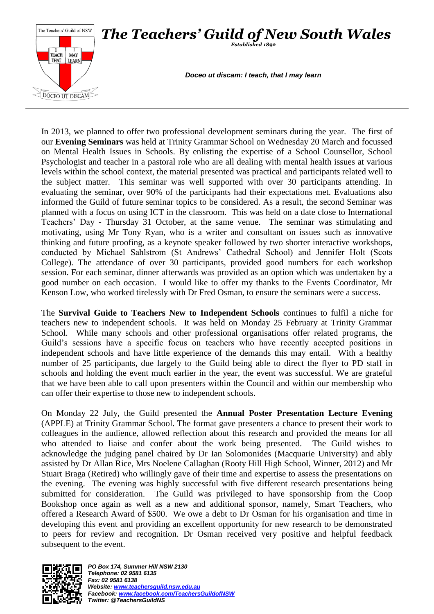

In 2013, we planned to offer two professional development seminars during the year. The first of our **Evening Seminars** was held at Trinity Grammar School on Wednesday 20 March and focussed on Mental Health Issues in Schools. By enlisting the expertise of a School Counsellor, School Psychologist and teacher in a pastoral role who are all dealing with mental health issues at various levels within the school context, the material presented was practical and participants related well to the subject matter. This seminar was well supported with over 30 participants attending. In evaluating the seminar, over 90% of the participants had their expectations met. Evaluations also informed the Guild of future seminar topics to be considered. As a result, the second Seminar was planned with a focus on using ICT in the classroom. This was held on a date close to International Teachers' Day - Thursday 31 October, at the same venue. The seminar was stimulating and motivating, using Mr Tony Ryan, who is a writer and consultant on issues such as innovative thinking and future proofing, as a keynote speaker followed by two shorter interactive workshops, conducted by Michael Sahlstrom (St Andrews' Cathedral School) and Jennifer Holt (Scots College). The attendance of over 30 participants, provided good numbers for each workshop session. For each seminar, dinner afterwards was provided as an option which was undertaken by a good number on each occasion. I would like to offer my thanks to the Events Coordinator, Mr Kenson Low, who worked tirelessly with Dr Fred Osman, to ensure the seminars were a success.

The **Survival Guide to Teachers New to Independent Schools** continues to fulfil a niche for teachers new to independent schools. It was held on Monday 25 February at Trinity Grammar School. While many schools and other professional organisations offer related programs, the Guild's sessions have a specific focus on teachers who have recently accepted positions in independent schools and have little experience of the demands this may entail. With a healthy number of 25 participants, due largely to the Guild being able to direct the flyer to PD staff in schools and holding the event much earlier in the year, the event was successful. We are grateful that we have been able to call upon presenters within the Council and within our membership who can offer their expertise to those new to independent schools.

On Monday 22 July, the Guild presented the **Annual Poster Presentation Lecture Evening** (APPLE) at Trinity Grammar School. The format gave presenters a chance to present their work to colleagues in the audience, allowed reflection about this research and provided the means for all who attended to liaise and confer about the work being presented. The Guild wishes to acknowledge the judging panel chaired by Dr Ian Solomonides (Macquarie University) and ably assisted by Dr Allan Rice, Mrs Noelene Callaghan (Rooty Hill High School, Winner, 2012) and Mr Stuart Braga (Retired) who willingly gave of their time and expertise to assess the presentations on the evening. The evening was highly successful with five different research presentations being submitted for consideration. The Guild was privileged to have sponsorship from the Coop Bookshop once again as well as a new and additional sponsor, namely, Smart Teachers, who offered a Research Award of \$500. We owe a debt to Dr Osman for his organisation and time in developing this event and providing an excellent opportunity for new research to be demonstrated to peers for review and recognition. Dr Osman received very positive and helpful feedback subsequent to the event.

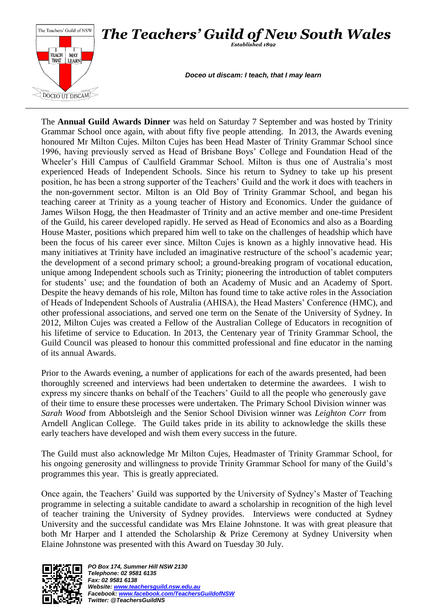

The **Annual Guild Awards Dinner** was held on Saturday 7 September and was hosted by Trinity Grammar School once again, with about fifty five people attending. In 2013, the Awards evening honoured Mr Milton Cujes. Milton Cujes has been Head Master of Trinity Grammar School since 1996, having previously served as Head of Brisbane Boys' College and Foundation Head of the Wheeler's Hill Campus of Caulfield Grammar School. Milton is thus one of Australia's most experienced Heads of Independent Schools. Since his return to Sydney to take up his present position, he has been a strong supporter of the Teachers' Guild and the work it does with teachers in the non-government sector. Milton is an Old Boy of Trinity Grammar School, and began his teaching career at Trinity as a young teacher of History and Economics. Under the guidance of James Wilson Hogg, the then Headmaster of Trinity and an active member and one-time President of the Guild, his career developed rapidly. He served as Head of Economics and also as a Boarding House Master, positions which prepared him well to take on the challenges of headship which have been the focus of his career ever since. Milton Cujes is known as a highly innovative head. His many initiatives at Trinity have included an imaginative restructure of the school's academic year; the development of a second primary school; a ground-breaking program of vocational education, unique among Independent schools such as Trinity; pioneering the introduction of tablet computers for students' use; and the foundation of both an Academy of Music and an Academy of Sport. Despite the heavy demands of his role, Milton has found time to take active roles in the Association of Heads of Independent Schools of Australia (AHISA), the Head Masters' Conference (HMC), and other professional associations, and served one term on the Senate of the University of Sydney. In 2012, Milton Cujes was created a Fellow of the Australian College of Educators in recognition of his lifetime of service to Education. In 2013, the Centenary year of Trinity Grammar School, the Guild Council was pleased to honour this committed professional and fine educator in the naming of its annual Awards.

Prior to the Awards evening, a number of applications for each of the awards presented, had been thoroughly screened and interviews had been undertaken to determine the awardees. I wish to express my sincere thanks on behalf of the Teachers' Guild to all the people who generously gave of their time to ensure these processes were undertaken. The Primary School Division winner was *Sarah Wood* from Abbotsleigh and the Senior School Division winner was *Leighton Corr* from Arndell Anglican College. The Guild takes pride in its ability to acknowledge the skills these early teachers have developed and wish them every success in the future.

The Guild must also acknowledge Mr Milton Cujes, Headmaster of Trinity Grammar School, for his ongoing generosity and willingness to provide Trinity Grammar School for many of the Guild's programmes this year. This is greatly appreciated.

Once again, the Teachers' Guild was supported by the University of Sydney's Master of Teaching programme in selecting a suitable candidate to award a scholarship in recognition of the high level of teacher training the University of Sydney provides. Interviews were conducted at Sydney University and the successful candidate was Mrs Elaine Johnstone. It was with great pleasure that both Mr Harper and I attended the Scholarship & Prize Ceremony at Sydney University when Elaine Johnstone was presented with this Award on Tuesday 30 July.

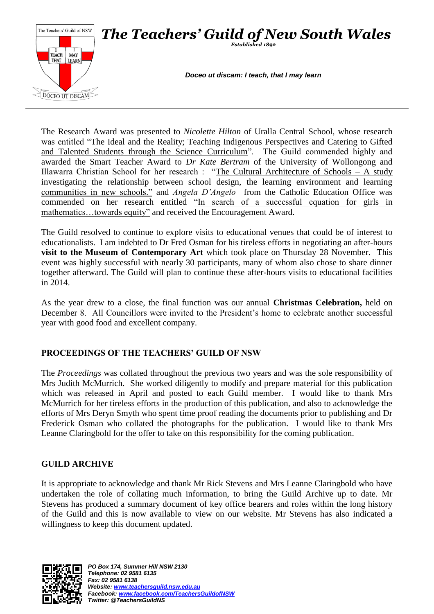

The Research Award was presented to *Nicolette Hilton* of Uralla Central School, whose research was entitled "The Ideal and the Reality; Teaching Indigenous Perspectives and Catering to Gifted and Talented Students through the Science Curriculum". The Guild commended highly and awarded the Smart Teacher Award to *Dr Kate Bertram* of the University of Wollongong and Illawarra Christian School for her research : "The Cultural Architecture of Schools – A study investigating the relationship between school design, the learning environment and learning communities in new schools." and *Angela D'Angelo* from the Catholic Education Office was commended on her research entitled "In search of a successful equation for girls in mathematics…towards equity" and received the Encouragement Award.

The Guild resolved to continue to explore visits to educational venues that could be of interest to educationalists. I am indebted to Dr Fred Osman for his tireless efforts in negotiating an after-hours **visit to the Museum of Contemporary Art** which took place on Thursday 28 November. This event was highly successful with nearly 30 participants, many of whom also chose to share dinner together afterward. The Guild will plan to continue these after-hours visits to educational facilities in 2014.

As the year drew to a close, the final function was our annual **Christmas Celebration,** held on December 8. All Councillors were invited to the President's home to celebrate another successful year with good food and excellent company.

# **PROCEEDINGS OF THE TEACHERS' GUILD OF NSW**

The *Proceedings* was collated throughout the previous two years and was the sole responsibility of Mrs Judith McMurrich. She worked diligently to modify and prepare material for this publication which was released in April and posted to each Guild member. I would like to thank Mrs McMurrich for her tireless efforts in the production of this publication, and also to acknowledge the efforts of Mrs Deryn Smyth who spent time proof reading the documents prior to publishing and Dr Frederick Osman who collated the photographs for the publication. I would like to thank Mrs Leanne Claringbold for the offer to take on this responsibility for the coming publication.

## **GUILD ARCHIVE**

It is appropriate to acknowledge and thank Mr Rick Stevens and Mrs Leanne Claringbold who have undertaken the role of collating much information, to bring the Guild Archive up to date. Mr Stevens has produced a summary document of key office bearers and roles within the long history of the Guild and this is now available to view on our website. Mr Stevens has also indicated a willingness to keep this document updated.

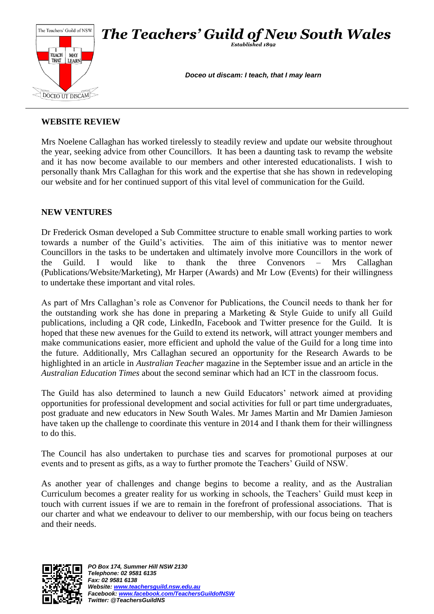

## **WEBSITE REVIEW**

Mrs Noelene Callaghan has worked tirelessly to steadily review and update our website throughout the year, seeking advice from other Councillors. It has been a daunting task to revamp the website and it has now become available to our members and other interested educationalists. I wish to personally thank Mrs Callaghan for this work and the expertise that she has shown in redeveloping our website and for her continued support of this vital level of communication for the Guild.

## **NEW VENTURES**

Dr Frederick Osman developed a Sub Committee structure to enable small working parties to work towards a number of the Guild's activities. The aim of this initiative was to mentor newer Councillors in the tasks to be undertaken and ultimately involve more Councillors in the work of the Guild. I would like to thank the three Convenors – Mrs Callaghan (Publications/Website/Marketing), Mr Harper (Awards) and Mr Low (Events) for their willingness to undertake these important and vital roles.

As part of Mrs Callaghan's role as Convenor for Publications, the Council needs to thank her for the outstanding work she has done in preparing a Marketing & Style Guide to unify all Guild publications, including a QR code, LinkedIn, Facebook and Twitter presence for the Guild. It is hoped that these new avenues for the Guild to extend its network, will attract younger members and make communications easier, more efficient and uphold the value of the Guild for a long time into the future. Additionally, Mrs Callaghan secured an opportunity for the Research Awards to be highlighted in an article in *Australian Teacher* magazine in the September issue and an article in the *Australian Education Times* about the second seminar which had an ICT in the classroom focus.

The Guild has also determined to launch a new Guild Educators' network aimed at providing opportunities for professional development and social activities for full or part time undergraduates, post graduate and new educators in New South Wales. Mr James Martin and Mr Damien Jamieson have taken up the challenge to coordinate this venture in 2014 and I thank them for their willingness to do this.

The Council has also undertaken to purchase ties and scarves for promotional purposes at our events and to present as gifts, as a way to further promote the Teachers' Guild of NSW.

As another year of challenges and change begins to become a reality, and as the Australian Curriculum becomes a greater reality for us working in schools, the Teachers' Guild must keep in touch with current issues if we are to remain in the forefront of professional associations. That is our charter and what we endeavour to deliver to our membership, with our focus being on teachers and their needs.